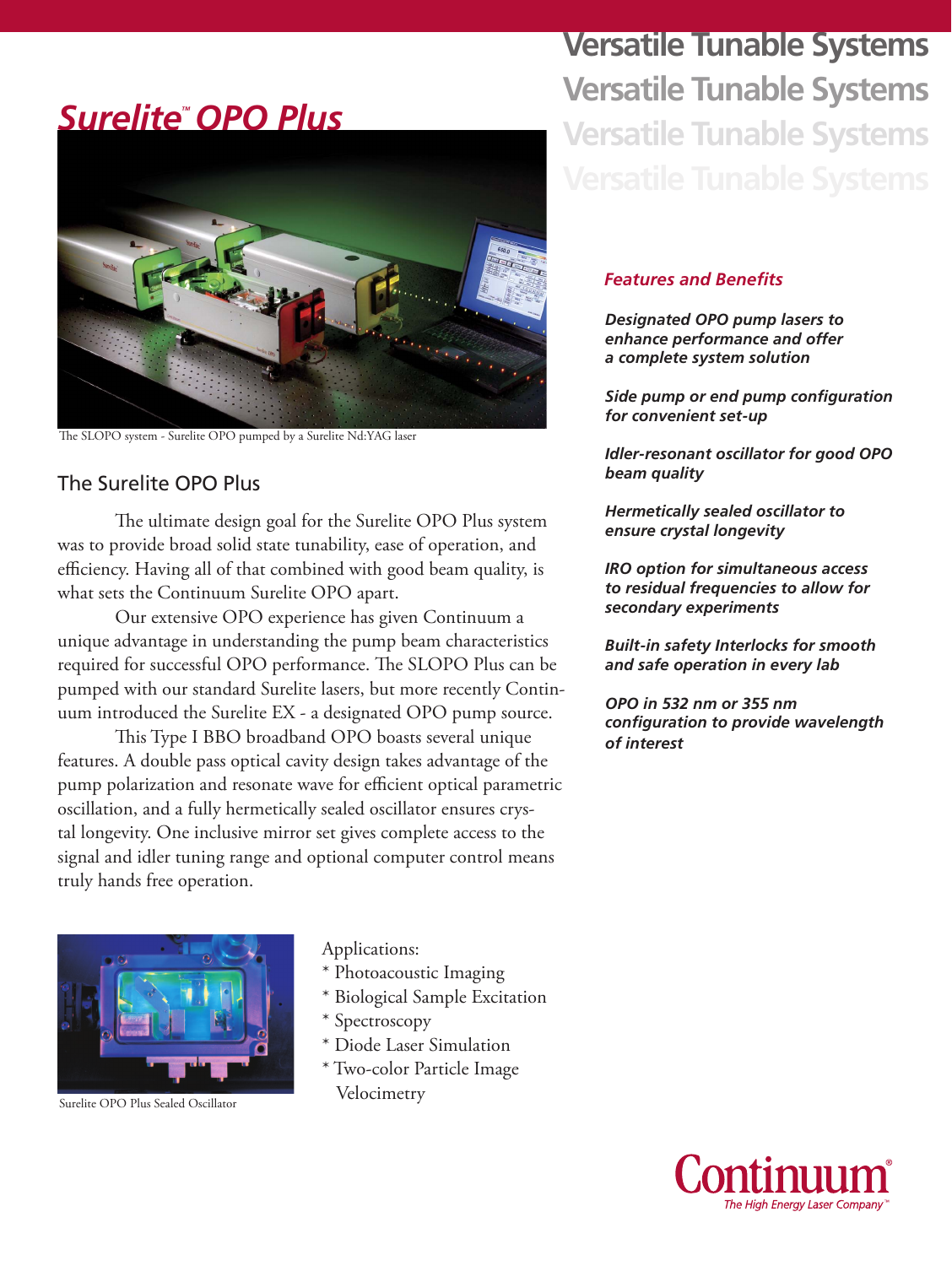## *SureliteTM OPO Plus*



The SLOPO system - Surelite OPO pumped by a Surelite Nd:YAG laser

#### The Surelite OPO Plus

The ultimate design goal for the Surelite OPO Plus system was to provide broad solid state tunability, ease of operation, and efficiency. Having all of that combined with good beam quality, is what sets the Continuum Surelite OPO apart.

Our extensive OPO experience has given Continuum a unique advantage in understanding the pump beam characteristics required for successful OPO performance. The SLOPO Plus can be pumped with our standard Surelite lasers, but more recently Continuum introduced the Surelite EX - a designated OPO pump source.

This Type I BBO broadband OPO boasts several unique features. A double pass optical cavity design takes advantage of the pump polarization and resonate wave for efficient optical parametric oscillation, and a fully hermetically sealed oscillator ensures crystal longevity. One inclusive mirror set gives complete access to the signal and idler tuning range and optional computer control means truly hands free operation.



Applications:

- \* Photoacoustic Imaging
- \* Biological Sample Excitation
- \* Spectroscopy
- \* Diode Laser Simulation
- \* Two-color Particle Image

**Versatile Tunable Systems Versatile Tunable Systems Versatile Tunable Systems** 

#### *Features and Benefits*

*Designated OPO pump lasers to enhance performance and offer a complete system solution*

*Side pump or end pump configuration for convenient set-up* 

*Idler-resonant oscillator for good OPO beam quality*

*Hermetically sealed oscillator to ensure crystal longevity* 

*IRO option for simultaneous access to residual frequencies to allow for secondary experiments*

*Built-in safety Interlocks for smooth and safe operation in every lab*

*OPO in 532 nm or 355 nm configuration to provide wavelength of interest*

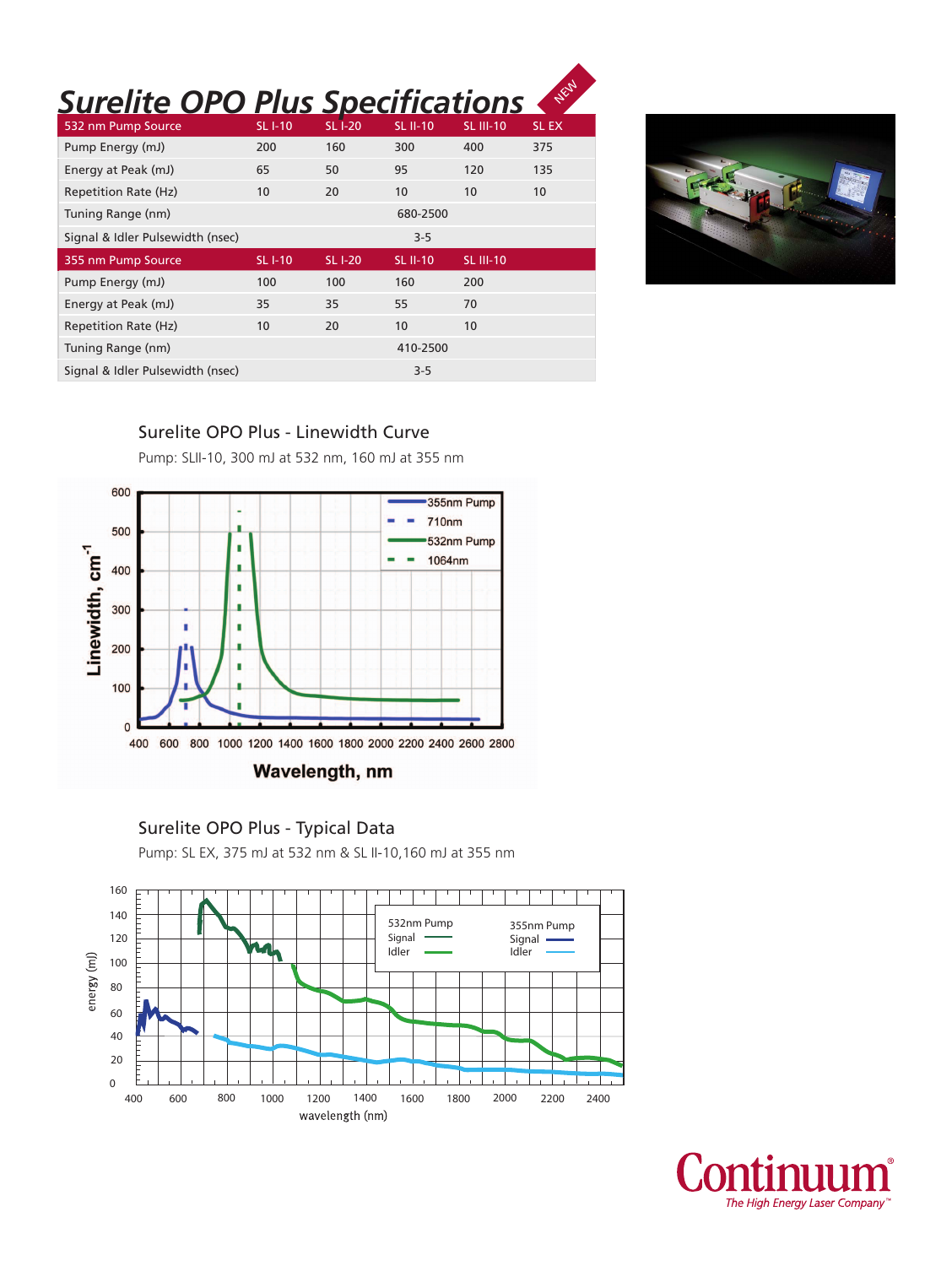# **Surelite OPO Plus Specifications**

| 532 nm Pump Source               | <b>SLI-10</b> | <b>SL I-20</b> | <b>SL II-10</b> | <b>SL III-10</b> | <b>SLEX</b> |
|----------------------------------|---------------|----------------|-----------------|------------------|-------------|
| Pump Energy (mJ)                 | 200           | 160            | 300             | 400              | 375         |
| Energy at Peak (mJ)              | 65            | 50             | 95              | 120              | 135         |
| Repetition Rate (Hz)             | 10            | 20             | 10              | 10               | 10          |
| Tuning Range (nm)                |               |                | 680-2500        |                  |             |
| Signal & Idler Pulsewidth (nsec) |               |                | $3 - 5$         |                  |             |
|                                  |               |                |                 |                  |             |
| 355 nm Pump Source               | <b>SLI-10</b> | <b>SLI-20</b>  | <b>SL II-10</b> | <b>SL III-10</b> |             |
| Pump Energy (mJ)                 | 100           | 100            | 160             | 200              |             |
| Energy at Peak (mJ)              | 35            | 35             | 55              | 70               |             |
| Repetition Rate (Hz)             | 10            | 20             | 10              | 10               |             |
| Tuning Range (nm)                |               |                | 410-2500        |                  |             |
| Signal & Idler Pulsewidth (nsec) |               |                | $3 - 5$         |                  |             |



#### Surelite OPO Plus - Linewidth Curve

Pump: SLII-10, 300 mJ at 532 nm, 160 mJ at 355 nm



#### Wavelength, nm



Pump: SL EX, 375 mJ at 532 nm & SL II-10,160 mJ at 355 nm